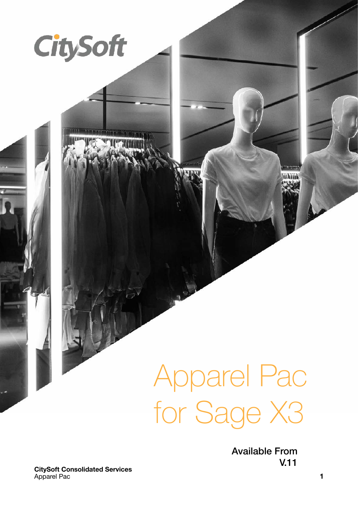

Available From V.11

**CitySoft Consolidated Services**  Apparel Pac **1** 

**CitySoft**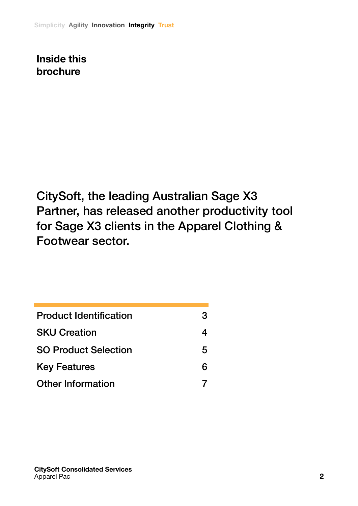**Inside this brochure**

CitySoft, the leading Australian Sage X3 Partner, has released another productivity tool for Sage X3 clients in the Apparel Clothing & Footwear sector.

| <b>Product Identification</b> | 3 |
|-------------------------------|---|
| <b>SKU Creation</b>           |   |
| <b>SO Product Selection</b>   | 5 |
| <b>Key Features</b>           | 6 |
| <b>Other Information</b>      |   |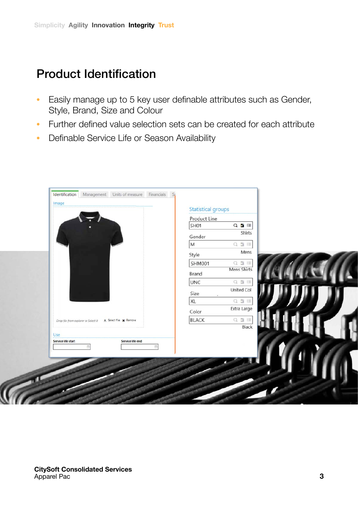## Product Identification

- Easily manage up to 5 key user definable attributes such as Gender, Style, Brand, Size and Colour
- Further defined value selection sets can be created for each attribute
- Definable Service Life or Season Availability

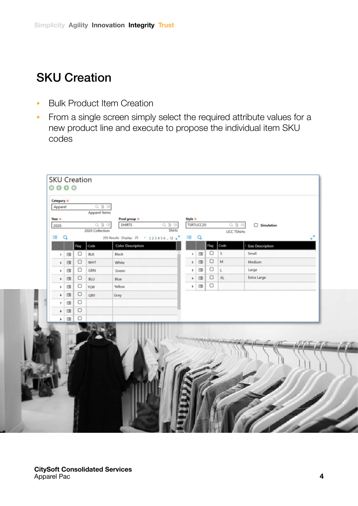## SKU Creation

- Bulk Product Item Creation
- From a single screen simply select the required attribute values for a new product line and execute to propose the individual item SKU codes

| Apparel              | Category * |                      | $Q \nexists \Box$<br>Apparel Items |                                      |                      |            |        |              |                         |
|----------------------|------------|----------------------|------------------------------------|--------------------------------------|----------------------|------------|--------|--------------|-------------------------|
| Year *               |            |                      | $Q \nexists \nexists$              | Prod group *<br><b>SHIRTS</b><br>QIE | Style *              | TSRTUCC20  |        | Q 型 回        | $\Box$ Simulation       |
| 2020                 |            |                      | 2020 Collection                    | <b>Shirts</b>                        |                      |            |        | UCC TShirts  |                         |
| E                    | $\alpha$   |                      |                                    |                                      | $\bigoplus$          | $\alpha$   |        |              |                         |
|                      |            | Code<br>Flag         |                                    | <b>Color Description</b>             |                      |            | Flag   | Code         | <b>Size Description</b> |
| $\mathbf{1}$         | $\Box$     | $\Box$<br><b>BLK</b> |                                    | Black                                | $\mathbf{1}$         | $\boxdot$  | $\Box$ | $\vert$ s    | Small                   |
| $\mathbf{z}$         | 国          | $\Box$               | WHT                                | White                                | $\overline{2}$       | $\boxplus$ | $\Box$ | M            | Medium                  |
| $\,$ $\,$            | $\Box$     | $\Box$               | GRN                                | Green                                | ı                    | 国          | $\Box$ | $\mathsf{L}$ | Large                   |
| $\blacktriangleleft$ | $\Box$     | $\Box$<br>BLU        |                                    | Blue                                 | $\ddot{\phantom{a}}$ | $\boxplus$ | $\Box$ | XL           | Extra Large             |
| $\mathbbmss{S}$      | $\Box$     | $\Box$<br>YLW        |                                    | Yellow                               | s                    | E          | $\Box$ |              |                         |
| $\bf{6}$             | $\boxplus$ | $\Box$<br>GRY        |                                    | Grey                                 |                      |            |        |              |                         |
| $_{7}$               | $\Box$     | $\Box$               |                                    |                                      |                      |            |        |              |                         |
| $\mathbf{B}$         | $\boxplus$ | $\Box$               |                                    |                                      |                      |            |        |              |                         |
| $\mathbf{p}$         | $\boxdot$  | $\Box$               |                                    |                                      |                      |            |        |              |                         |
|                      |            |                      |                                    |                                      |                      |            |        |              |                         |
|                      |            |                      |                                    |                                      |                      |            |        |              |                         |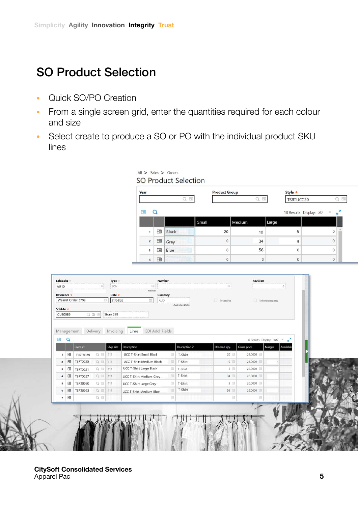## SO Product Selection

- Quick SO/PO Creation
- From a single screen grid, enter the quantities required for each colour and size
- Select create to produce a SO or PO with the individual product SKU lines

| Year           |          |       | <b>Product Group</b> |         | Style *   |                                          |   |  |  |
|----------------|----------|-------|----------------------|---------|-----------|------------------------------------------|---|--|--|
| E              |          |       |                      | FE<br>o | TSRTUCC20 |                                          | 囤 |  |  |
| 帽              | O        |       |                      |         |           | $\overline{z}$<br>18 Results Display: 20 |   |  |  |
|                |          |       | Small                | Medium  | Large     |                                          |   |  |  |
| $\mathbf{1}$   | 恒        | Black | 20                   | 10      | 5         | $\mathbf{0}$                             |   |  |  |
| $\overline{2}$ | $\equiv$ | Grey  | $\mathbf{0}$         | 34      | 9         | $\Omega$                                 |   |  |  |
|                | □        | Blue  | $\mathbf{0}$         | 56      | $\Omega$  | $\theta$                                 |   |  |  |
| 3              |          |       |                      |         |           |                                          |   |  |  |

| Reference *                    |          | Walmrt Order 2789                  |                    | Date *<br>27/04/20<br>园 | Currency<br>曲<br>AUD                                                     |                    | $\Box$ Intersite |                        | $\Box$ Intercompany        |  |
|--------------------------------|----------|------------------------------------|--------------------|-------------------------|--------------------------------------------------------------------------|--------------------|------------------|------------------------|----------------------------|--|
| Sold-to *                      |          |                                    |                    |                         |                                                                          | Australian Dollar  |                  |                        |                            |  |
| CUS0089                        |          |                                    | $Q \equiv E$       | Store 289               |                                                                          |                    |                  |                        |                            |  |
|                                |          |                                    |                    |                         |                                                                          |                    |                  |                        |                            |  |
| Management                     |          |                                    |                    | Delivery Invoicing      | EDI Addl Fields<br>Lines                                                 |                    |                  |                        |                            |  |
| <b>CHI</b>                     | $\alpha$ |                                    |                    |                         |                                                                          |                    |                  |                        | 6 Results Display: 500 = 2 |  |
|                                |          | Product                            |                    | Ship site               | Description                                                              | Description 2      | Ordered aty.     | Gross price<br>26,0000 | Margin<br>Available        |  |
| $\mathbf{1}$<br>$\overline{z}$ | E<br>E   | <b>TSRT0029</b><br><b>TSRT0025</b> | Q 图 111<br>Q 图 111 |                         | <b>UCC T-Shirt Small Black</b><br>EU.<br><b>UCC T-Shirt Medium Black</b> | T-Shirt<br>T-Shirt | 20<br>10         | 26,0000                |                            |  |
| $\overline{\mathbf{3}}$        | E        | <b>TSRT0021</b>                    | $Q \equiv 111$     |                         | <b>UCC T-Shirt Large Black</b>                                           | T-Shirt            | 5 国              | 26,0000                |                            |  |
| $\ddot{ }$                     | 国        | <b>TSRT0027</b>                    | Q 图 111            |                         | <b>UCC T-Shirt Medium Grey</b>                                           | T-Shirt            | 34 国             | 26,0000                |                            |  |
| s                              | 日        | <b>TSRT0020</b>                    | Q 图 111            |                         | <b>BII</b><br>UCC T-Shirt Large Grey                                     | T-Shirt            | $9 =$            | 26,0000                |                            |  |
| 6                              | 图        | <b>TSRT0023</b>                    | Q 图 111            |                         | <b>BI</b><br><b>UCC T-Shirt Medium Blue</b>                              | T-Shirt            | 56 日             | 26,0000                |                            |  |
| $\overline{7}$                 | E        |                                    | $Q \equiv$         |                         | $ \Box$                                                                  |                    | 国                | <b>BI</b>              |                            |  |
|                                |          |                                    |                    |                         |                                                                          |                    |                  |                        |                            |  |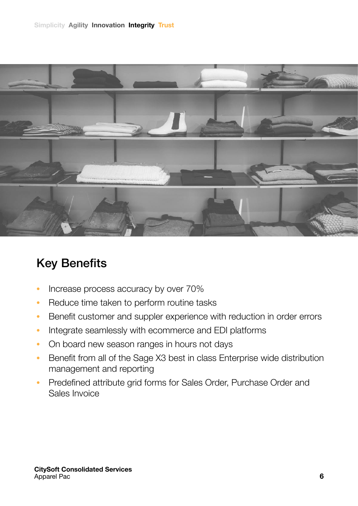

# Key Benefits

- Increase process accuracy by over 70%
- Reduce time taken to perform routine tasks
- Benefit customer and suppler experience with reduction in order errors
- Integrate seamlessly with ecommerce and EDI platforms
- On board new season ranges in hours not days
- Benefit from all of the Sage X3 best in class Enterprise wide distribution management and reporting
- Predefined attribute grid forms for Sales Order, Purchase Order and Sales Invoice